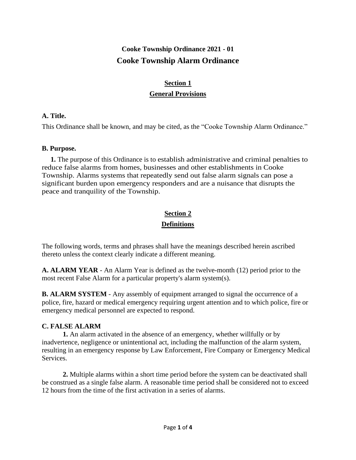## **Cooke Township Ordinance 2021 - 01 Cooke Township Alarm Ordinance**

## **Section 1**

#### **General Provisions**

#### **A. Title.**

This Ordinance shall be known, and may be cited, as the "Cooke Township Alarm Ordinance."

#### **B. Purpose.**

 **1.** The purpose of this Ordinance is to establish administrative and criminal penalties to reduce false alarms from homes, businesses and other establishments in Cooke Township. Alarms systems that repeatedly send out false alarm signals can pose a significant burden upon emergency responders and are a nuisance that disrupts the peace and tranquility of the Township.

## **Section 2 Definitions**

The following words, terms and phrases shall have the meanings described herein ascribed thereto unless the context clearly indicate a different meaning.

**A. ALARM YEAR** - An Alarm Year is defined as the twelve-month (12) period prior to the most recent False Alarm for a particular property's alarm system(s).

**B. ALARM SYSTEM** - Any assembly of equipment arranged to signal the occurrence of a police, fire, hazard or medical emergency requiring urgent attention and to which police, fire or emergency medical personnel are expected to respond.

#### **C. FALSE ALARM**

**1.** An alarm activated in the absence of an emergency, whether willfully or by inadvertence, negligence or unintentional act, including the malfunction of the alarm system, resulting in an emergency response by Law Enforcement, Fire Company or Emergency Medical Services.

**2.** Multiple alarms within a short time period before the system can be deactivated shall be construed as a single false alarm. A reasonable time period shall be considered not to exceed 12 hours from the time of the first activation in a series of alarms.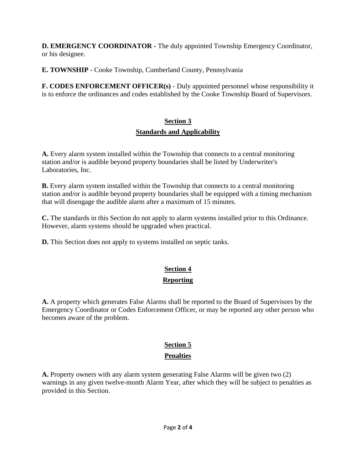**D. EMERGENCY COORDINATOR -** The duly appointed Township Emergency Coordinator, or his designee.

**E. TOWNSHIP** - Cooke Township, Cumberland County, Pennsylvania

**F. CODES ENFORCEMENT OFFICER(s)** - Duly appointed personnel whose responsibility it is to enforce the ordinances and codes established by the Cooke Township Board of Supervisors.

## **Section 3 Standards and Applicability**

**A.** Every alarm system installed within the Township that connects to a central monitoring station and/or is audible beyond property boundaries shall be listed by Underwriter's Laboratories, Inc.

**B.** Every alarm system installed within the Township that connects to a central monitoring station and/or is audible beyond property boundaries shall be equipped with a timing mechanism that will disengage the audible alarm after a maximum of 15 minutes.

**C.** The standards in this Section do not apply to alarm systems installed prior to this Ordinance. However, alarm systems should be upgraded when practical.

**D.** This Section does not apply to systems installed on septic tanks.

## **Section 4 Reporting**

**A.** A property which generates False Alarms shall be reported to the Board of Supervisors by the Emergency Coordinator or Codes Enforcement Officer, or may be reported any other person who becomes aware of the problem.

# **Section 5**

#### **Penalties**

**A.** Property owners with any alarm system generating False Alarms will be given two (2) warnings in any given twelve-month Alarm Year, after which they will be subject to penalties as provided in this Section.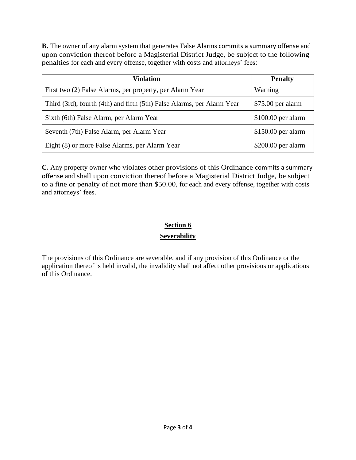**B.** The owner of any alarm system that generates False Alarms commits a summary offense and upon conviction thereof before a Magisterial District Judge, be subject to the following penalties for each and every offense, together with costs and attorneys' fees:

| <b>Violation</b>                                                       | <b>Penalty</b>      |
|------------------------------------------------------------------------|---------------------|
| First two (2) False Alarms, per property, per Alarm Year               | Warning             |
| Third (3rd), fourth (4th) and fifth (5th) False Alarms, per Alarm Year | $$75.00$ per alarm  |
| Sixth (6th) False Alarm, per Alarm Year                                | $$100.00$ per alarm |
| Seventh (7th) False Alarm, per Alarm Year                              | $$150.00$ per alarm |
| Eight (8) or more False Alarms, per Alarm Year                         | $$200.00$ per alarm |

**C.** Any property owner who violates other provisions of this Ordinance commits a summary offense and shall upon conviction thereof before a Magisterial District Judge, be subject to a fine or penalty of not more than \$50.00, for each and every offense, together with costs and attorneys' fees.

## **Section 6 Severability**

The provisions of this Ordinance are severable, and if any provision of this Ordinance or the application thereof is held invalid, the invalidity shall not affect other provisions or applications of this Ordinance.